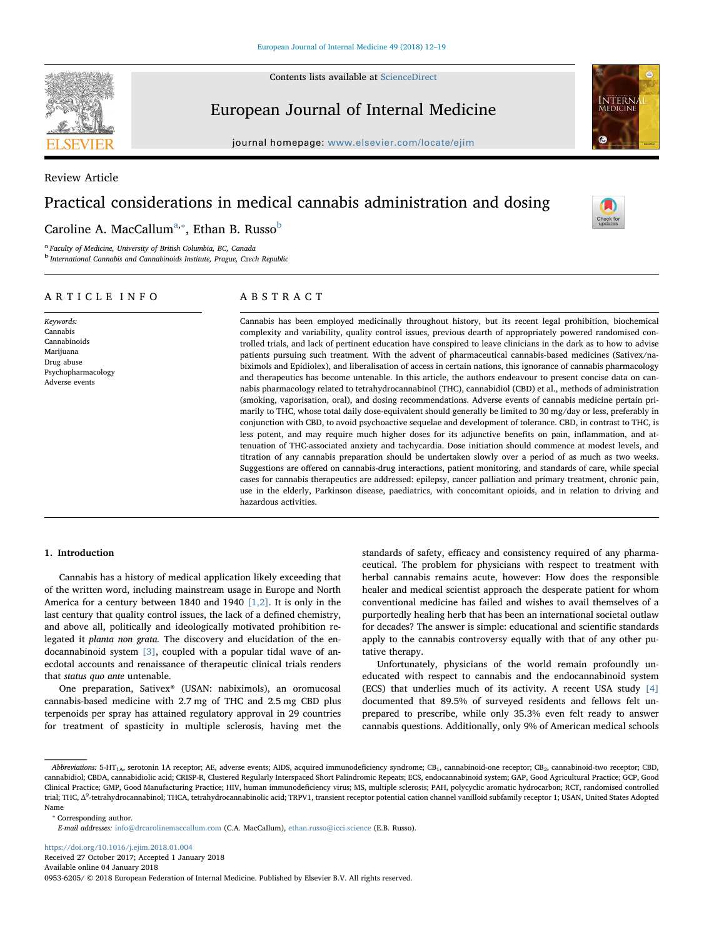Contents lists available at [ScienceDirect](http://www.sciencedirect.com/science/journal/09536205)



## European Journal of Internal Medicine

journal homepage: [www.elsevier.com/locate/ejim](https://www.elsevier.com/locate/ejim)



[T](http://crossmark.crossref.org/dialog/?doi=10.1016/j.ejim.2018.01.004&domain=pdf)

## Review Article

# Practical considerations in medical cannabis administration and dosing

Caroline A. MacCallum<sup>[a,](#page-0-0)</sup>\*, Ethan B. Russo<sup>[b](#page-0-2)</sup>

<span id="page-0-0"></span><sup>a</sup> Faculty of Medicine, University of British Columbia, BC, Canada

<span id="page-0-2"></span><sup>b</sup> International Cannabis and Cannabinoids Institute, Prague, Czech Republic

## ARTICLE INFO

#### Keywords: Cannabis Cannabinoids Marijuana Drug abuse Psychopharmacology Adverse events

## ABSTRACT

Cannabis has been employed medicinally throughout history, but its recent legal prohibition, biochemical complexity and variability, quality control issues, previous dearth of appropriately powered randomised controlled trials, and lack of pertinent education have conspired to leave clinicians in the dark as to how to advise patients pursuing such treatment. With the advent of pharmaceutical cannabis-based medicines (Sativex/nabiximols and Epidiolex), and liberalisation of access in certain nations, this ignorance of cannabis pharmacology and therapeutics has become untenable. In this article, the authors endeavour to present concise data on cannabis pharmacology related to tetrahydrocannabinol (THC), cannabidiol (CBD) et al., methods of administration (smoking, vaporisation, oral), and dosing recommendations. Adverse events of cannabis medicine pertain primarily to THC, whose total daily dose-equivalent should generally be limited to 30 mg/day or less, preferably in conjunction with CBD, to avoid psychoactive sequelae and development of tolerance. CBD, in contrast to THC, is less potent, and may require much higher doses for its adjunctive benefits on pain, inflammation, and attenuation of THC-associated anxiety and tachycardia. Dose initiation should commence at modest levels, and titration of any cannabis preparation should be undertaken slowly over a period of as much as two weeks. Suggestions are offered on cannabis-drug interactions, patient monitoring, and standards of care, while special cases for cannabis therapeutics are addressed: epilepsy, cancer palliation and primary treatment, chronic pain, use in the elderly, Parkinson disease, paediatrics, with concomitant opioids, and in relation to driving and hazardous activities.

## 1. Introduction

Cannabis has a history of medical application likely exceeding that of the written word, including mainstream usage in Europe and North America for a century between 1840 and 1940  $[1,2]$ . It is only in the last century that quality control issues, the lack of a defined chemistry, and above all, politically and ideologically motivated prohibition relegated it planta non grata. The discovery and elucidation of the endocannabinoid system [\[3\],](#page-6-1) coupled with a popular tidal wave of anecdotal accounts and renaissance of therapeutic clinical trials renders that status quo ante untenable.

One preparation, Sativex® (USAN: nabiximols), an oromucosal cannabis-based medicine with 2.7 mg of THC and 2.5 mg CBD plus terpenoids per spray has attained regulatory approval in 29 countries for treatment of spasticity in multiple sclerosis, having met the

standards of safety, efficacy and consistency required of any pharmaceutical. The problem for physicians with respect to treatment with herbal cannabis remains acute, however: How does the responsible healer and medical scientist approach the desperate patient for whom conventional medicine has failed and wishes to avail themselves of a purportedly healing herb that has been an international societal outlaw for decades? The answer is simple: educational and scientific standards apply to the cannabis controversy equally with that of any other putative therapy.

Unfortunately, physicians of the world remain profoundly uneducated with respect to cannabis and the endocannabinoid system (ECS) that underlies much of its activity. A recent USA study [\[4\]](#page-6-2) documented that 89.5% of surveyed residents and fellows felt unprepared to prescribe, while only 35.3% even felt ready to answer cannabis questions. Additionally, only 9% of American medical schools

<span id="page-0-1"></span>⁎ Corresponding author.

#### <https://doi.org/10.1016/j.ejim.2018.01.004>

Received 27 October 2017; Accepted 1 January 2018

Available online 04 January 2018

Abbreviations: 5-HT<sub>1A</sub>, serotonin 1A receptor; AE, adverse events; AIDS, acquired immunodeficiency syndrome; CB<sub>1</sub>, cannabinoid-one receptor; CB<sub>2</sub>, cannabinoid-two receptor; CBD, cannabidiol; CBDA, cannabidiolic acid; CRISP-R, Clustered Regularly Interspaced Short Palindromic Repeats; ECS, endocannabinoid system; GAP, Good Agricultural Practice; GCP, Good Clinical Practice; GMP, Good Manufacturing Practice; HIV, human immunodeficiency virus; MS, multiple sclerosis; PAH, polycyclic aromatic hydrocarbon; RCT, randomised controlled trial; THC, Δ<sup>9</sup>-tetrahydrocannabinol; THCA, tetrahydrocannabinolic acid; TRPV1, transient receptor potential cation channel vanilloid subfamily receptor 1; USAN, United States Adopted Name

E-mail addresses: [info@drcarolinemaccallum.com](mailto:info@drcarolinemaccallum.com) (C.A. MacCallum), [ethan.russo@icci.science](mailto:ethan.russo@icci.science) (E.B. Russo).

<sup>0953-6205/ © 2018</sup> European Federation of Internal Medicine. Published by Elsevier B.V. All rights reserved.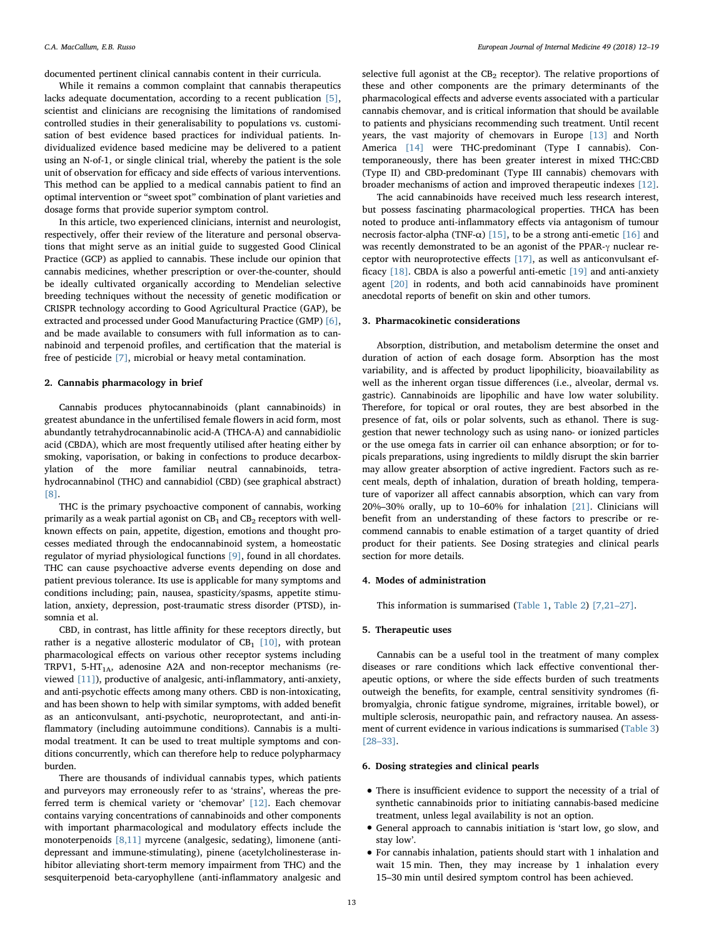documented pertinent clinical cannabis content in their curricula.

While it remains a common complaint that cannabis therapeutics lacks adequate documentation, according to a recent publication [\[5\]](#page-6-3), scientist and clinicians are recognising the limitations of randomised controlled studies in their generalisability to populations vs. customisation of best evidence based practices for individual patients. Individualized evidence based medicine may be delivered to a patient using an N-of-1, or single clinical trial, whereby the patient is the sole unit of observation for efficacy and side effects of various interventions. This method can be applied to a medical cannabis patient to find an optimal intervention or "sweet spot" combination of plant varieties and dosage forms that provide superior symptom control.

In this article, two experienced clinicians, internist and neurologist, respectively, offer their review of the literature and personal observations that might serve as an initial guide to suggested Good Clinical Practice (GCP) as applied to cannabis. These include our opinion that cannabis medicines, whether prescription or over-the-counter, should be ideally cultivated organically according to Mendelian selective breeding techniques without the necessity of genetic modification or CRISPR technology according to Good Agricultural Practice (GAP), be extracted and processed under Good Manufacturing Practice (GMP) [\[6\]](#page-6-4), and be made available to consumers with full information as to cannabinoid and terpenoid profiles, and certification that the material is free of pesticide [\[7\]](#page-6-5), microbial or heavy metal contamination.

#### 2. Cannabis pharmacology in brief

Cannabis produces phytocannabinoids (plant cannabinoids) in greatest abundance in the unfertilised female flowers in acid form, most abundantly tetrahydrocannabinolic acid-A (THCA-A) and cannabidiolic acid (CBDA), which are most frequently utilised after heating either by smoking, vaporisation, or baking in confections to produce decarboxylation of the more familiar neutral cannabinoids, tetrahydrocannabinol (THC) and cannabidiol (CBD) (see graphical abstract) [\[8\].](#page-6-6)

THC is the primary psychoactive component of cannabis, working primarily as a weak partial agonist on  $CB_1$  and  $CB_2$  receptors with wellknown effects on pain, appetite, digestion, emotions and thought processes mediated through the endocannabinoid system, a homeostatic regulator of myriad physiological functions [\[9\]](#page-6-7), found in all chordates. THC can cause psychoactive adverse events depending on dose and patient previous tolerance. Its use is applicable for many symptoms and conditions including; pain, nausea, spasticity/spasms, appetite stimulation, anxiety, depression, post-traumatic stress disorder (PTSD), insomnia et al.

CBD, in contrast, has little affinity for these receptors directly, but rather is a negative allosteric modulator of  $CB<sub>1</sub>$  [\[10\]](#page-6-8), with protean pharmacological effects on various other receptor systems including TRPV1, 5-HT<sub>1A</sub>, adenosine A2A and non-receptor mechanisms (reviewed [\[11\]\)](#page-6-9), productive of analgesic, anti-inflammatory, anti-anxiety, and anti-psychotic effects among many others. CBD is non-intoxicating, and has been shown to help with similar symptoms, with added benefit as an anticonvulsant, anti-psychotic, neuroprotectant, and anti-inflammatory (including autoimmune conditions). Cannabis is a multimodal treatment. It can be used to treat multiple symptoms and conditions concurrently, which can therefore help to reduce polypharmacy burden.

There are thousands of individual cannabis types, which patients and purveyors may erroneously refer to as 'strains', whereas the preferred term is chemical variety or 'chemovar' [\[12\].](#page-6-10) Each chemovar contains varying concentrations of cannabinoids and other components with important pharmacological and modulatory effects include the monoterpenoids [\[8,11\]](#page-6-6) myrcene (analgesic, sedating), limonene (antidepressant and immune-stimulating), pinene (acetylcholinesterase inhibitor alleviating short-term memory impairment from THC) and the sesquiterpenoid beta-caryophyllene (anti-inflammatory analgesic and

selective full agonist at the  $CB<sub>2</sub>$  receptor). The relative proportions of these and other components are the primary determinants of the pharmacological effects and adverse events associated with a particular cannabis chemovar, and is critical information that should be available to patients and physicians recommending such treatment. Until recent years, the vast majority of chemovars in Europe [\[13\]](#page-6-11) and North America [\[14\]](#page-6-12) were THC-predominant (Type I cannabis). Contemporaneously, there has been greater interest in mixed THC:CBD (Type II) and CBD-predominant (Type III cannabis) chemovars with broader mechanisms of action and improved therapeutic indexes [\[12\]](#page-6-10).

The acid cannabinoids have received much less research interest, but possess fascinating pharmacological properties. THCA has been noted to produce anti-inflammatory effects via antagonism of tumour necrosis factor-alpha (TNF-α) [\[15\],](#page-6-13) to be a strong anti-emetic [\[16\]](#page-6-14) and was recently demonstrated to be an agonist of the PPAR-γ nuclear receptor with neuroprotective effects [\[17\],](#page-6-15) as well as anticonvulsant efficacy [\[18\].](#page-6-16) CBDA is also a powerful anti-emetic [\[19\]](#page-6-17) and anti-anxiety agent [\[20\]](#page-6-18) in rodents, and both acid cannabinoids have prominent anecdotal reports of benefit on skin and other tumors.

#### 3. Pharmacokinetic considerations

Absorption, distribution, and metabolism determine the onset and duration of action of each dosage form. Absorption has the most variability, and is affected by product lipophilicity, bioavailability as well as the inherent organ tissue differences (i.e., alveolar, dermal vs. gastric). Cannabinoids are lipophilic and have low water solubility. Therefore, for topical or oral routes, they are best absorbed in the presence of fat, oils or polar solvents, such as ethanol. There is suggestion that newer technology such as using nano- or ionized particles or the use omega fats in carrier oil can enhance absorption; or for topicals preparations, using ingredients to mildly disrupt the skin barrier may allow greater absorption of active ingredient. Factors such as recent meals, depth of inhalation, duration of breath holding, temperature of vaporizer all affect cannabis absorption, which can vary from 20%–30% orally, up to 10–60% for inhalation [\[21\]](#page-6-19). Clinicians will benefit from an understanding of these factors to prescribe or recommend cannabis to enable estimation of a target quantity of dried product for their patients. See Dosing strategies and clinical pearls section for more details.

#### 4. Modes of administration

This information is summarised [\(Table 1](#page-2-0), [Table 2\)](#page-2-1) [\[7,21](#page-6-5)–27].

## 5. Therapeutic uses

Cannabis can be a useful tool in the treatment of many complex diseases or rare conditions which lack effective conventional therapeutic options, or where the side effects burden of such treatments outweigh the benefits, for example, central sensitivity syndromes (fibromyalgia, chronic fatigue syndrome, migraines, irritable bowel), or multiple sclerosis, neuropathic pain, and refractory nausea. An assessment of current evidence in various indications is summarised ([Table 3\)](#page-2-2) [28–[33\]](#page-6-20).

## 6. Dosing strategies and clinical pearls

- There is insufficient evidence to support the necessity of a trial of synthetic cannabinoids prior to initiating cannabis-based medicine treatment, unless legal availability is not an option.
- General approach to cannabis initiation is 'start low, go slow, and stay low'.
- For cannabis inhalation, patients should start with 1 inhalation and wait 15 min. Then, they may increase by 1 inhalation every 15–30 min until desired symptom control has been achieved.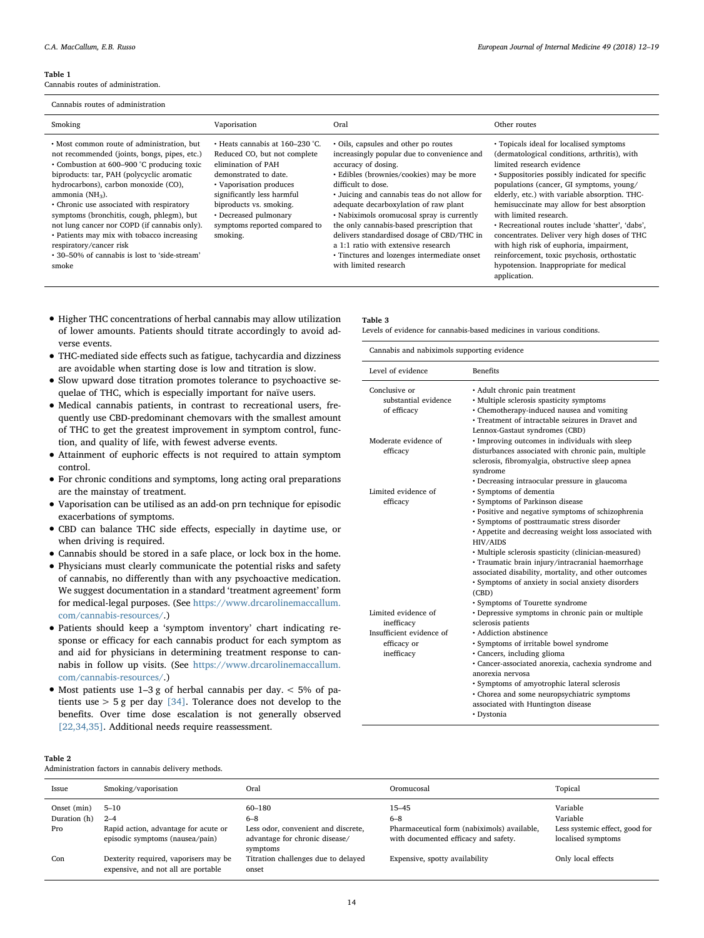#### <span id="page-2-0"></span>Table 1

# Cannabis routes of administration.

| Cannabis routes of administration                                                                                                                                                                                                                                                                                                                                                                                                                                                                                                |                                                                                                                                                                                                                                                                          |                                                                                                                                                                                                                                                                                                                                                                                                                                                                                                                               |                                                                                                                                                                                                                                                                                                                                                                                                                                                                                                                                                                                                       |
|----------------------------------------------------------------------------------------------------------------------------------------------------------------------------------------------------------------------------------------------------------------------------------------------------------------------------------------------------------------------------------------------------------------------------------------------------------------------------------------------------------------------------------|--------------------------------------------------------------------------------------------------------------------------------------------------------------------------------------------------------------------------------------------------------------------------|-------------------------------------------------------------------------------------------------------------------------------------------------------------------------------------------------------------------------------------------------------------------------------------------------------------------------------------------------------------------------------------------------------------------------------------------------------------------------------------------------------------------------------|-------------------------------------------------------------------------------------------------------------------------------------------------------------------------------------------------------------------------------------------------------------------------------------------------------------------------------------------------------------------------------------------------------------------------------------------------------------------------------------------------------------------------------------------------------------------------------------------------------|
| Smoking                                                                                                                                                                                                                                                                                                                                                                                                                                                                                                                          | Vaporisation                                                                                                                                                                                                                                                             | Oral                                                                                                                                                                                                                                                                                                                                                                                                                                                                                                                          | Other routes                                                                                                                                                                                                                                                                                                                                                                                                                                                                                                                                                                                          |
| • Most common route of administration, but<br>not recommended (joints, bongs, pipes, etc.)<br>• Combustion at 600–900 °C producing toxic<br>biproducts: tar, PAH (polycyclic aromatic<br>hydrocarbons), carbon monoxide (CO),<br>ammonia ( $NH3$ ).<br>• Chronic use associated with respiratory<br>symptoms (bronchitis, cough, phlegm), but<br>not lung cancer nor COPD (if cannabis only).<br>• Patients may mix with tobacco increasing<br>respiratory/cancer risk<br>• 30–50% of cannabis is lost to 'side-stream'<br>smoke | • Heats cannabis at 160–230 °C.<br>Reduced CO, but not complete<br>elimination of PAH<br>demonstrated to date.<br>• Vaporisation produces<br>significantly less harmful<br>biproducts vs. smoking.<br>• Decreased pulmonary<br>symptoms reported compared to<br>smoking. | • Oils, capsules and other po routes<br>increasingly popular due to convenience and<br>accuracy of dosing.<br>• Edibles (brownies/cookies) may be more<br>difficult to dose.<br>• Juicing and cannabis teas do not allow for<br>adequate decarboxylation of raw plant<br>• Nabiximols oromucosal spray is currently<br>the only cannabis-based prescription that<br>delivers standardised dosage of CBD/THC in<br>a 1:1 ratio with extensive research<br>• Tinctures and lozenges intermediate onset<br>with limited research | • Topicals ideal for localised symptoms<br>(dermatological conditions, arthritis), with<br>limited research evidence<br>• Suppositories possibly indicated for specific<br>populations (cancer, GI symptoms, young/<br>elderly, etc.) with variable absorption. THC-<br>hemisuccinate may allow for best absorption<br>with limited research.<br>· Recreational routes include 'shatter', 'dabs',<br>concentrates. Deliver very high doses of THC<br>with high risk of euphoria, impairment,<br>reinforcement, toxic psychosis, orthostatic<br>hypotension. Inappropriate for medical<br>application. |

- Higher THC concentrations of herbal cannabis may allow utilization of lower amounts. Patients should titrate accordingly to avoid adverse events.
- THC-mediated side effects such as fatigue, tachycardia and dizziness are avoidable when starting dose is low and titration is slow.
- Slow upward dose titration promotes tolerance to psychoactive sequelae of THC, which is especially important for naïve users.
- Medical cannabis patients, in contrast to recreational users, frequently use CBD-predominant chemovars with the smallest amount of THC to get the greatest improvement in symptom control, function, and quality of life, with fewest adverse events.
- Attainment of euphoric effects is not required to attain symptom control.
- For chronic conditions and symptoms, long acting oral preparations are the mainstay of treatment.
- Vaporisation can be utilised as an add-on prn technique for episodic exacerbations of symptoms.
- CBD can balance THC side effects, especially in daytime use, or when driving is required.
- Cannabis should be stored in a safe place, or lock box in the home.
- Physicians must clearly communicate the potential risks and safety of cannabis, no differently than with any psychoactive medication. We suggest documentation in a standard 'treatment agreement' form for medical-legal purposes. (See [https://www.drcarolinemaccallum.](https://www.drcarolinemaccallum.com/cannabis-resources) [com/cannabis-resources/](https://www.drcarolinemaccallum.com/cannabis-resources).)
- Patients should keep a 'symptom inventory' chart indicating response or efficacy for each cannabis product for each symptom as and aid for physicians in determining treatment response to cannabis in follow up visits. (See [https://www.drcarolinemaccallum.](https://www.drcarolinemaccallum.com/cannabis-resources) [com/cannabis-resources/](https://www.drcarolinemaccallum.com/cannabis-resources).)
- Most patients use  $1-3$  g of herbal cannabis per day.  $< 5\%$  of patients use  $>$  5 g per day [\[34\]](#page-6-21). Tolerance does not develop to the benefits. Over time dose escalation is not generally observed [\[22,34,35\].](#page-6-22) Additional needs require reassessment.

<span id="page-2-2"></span>Table 3

Levels of evidence for cannabis-based medicines in various conditions.

| Cannabis and nabiximols supporting evidence                                                |                                                                                                                                                                                                                                                                                                                                                                                                                                                                                                          |  |  |
|--------------------------------------------------------------------------------------------|----------------------------------------------------------------------------------------------------------------------------------------------------------------------------------------------------------------------------------------------------------------------------------------------------------------------------------------------------------------------------------------------------------------------------------------------------------------------------------------------------------|--|--|
| Level of evidence                                                                          | <b>Benefits</b>                                                                                                                                                                                                                                                                                                                                                                                                                                                                                          |  |  |
| Conclusive or<br>substantial evidence<br>of efficacy                                       | · Adult chronic pain treatment<br>· Multiple sclerosis spasticity symptoms<br>• Chemotherapy-induced nausea and vomiting<br>• Treatment of intractable seizures in Dravet and<br>Lennox-Gastaut syndromes (CBD)                                                                                                                                                                                                                                                                                          |  |  |
| Moderate evidence of<br>efficacy                                                           | · Improving outcomes in individuals with sleep<br>disturbances associated with chronic pain, multiple<br>sclerosis, fibromyalgia, obstructive sleep apnea<br>syndrome<br>• Decreasing intraocular pressure in glaucoma                                                                                                                                                                                                                                                                                   |  |  |
| Limited evidence of<br>efficacy                                                            | · Symptoms of dementia<br>· Symptoms of Parkinson disease<br>· Positive and negative symptoms of schizophrenia<br>· Symptoms of posttraumatic stress disorder<br>• Appetite and decreasing weight loss associated with<br>HIV/AIDS<br>• Multiple sclerosis spasticity (clinician-measured)<br>· Traumatic brain injury/intracranial haemorrhage<br>associated disability, mortality, and other outcomes<br>· Symptoms of anxiety in social anxiety disorders<br>(CBD)<br>• Symptoms of Tourette syndrome |  |  |
| Limited evidence of<br>inefficacy<br>Insufficient evidence of<br>efficacy or<br>inefficacy | • Depressive symptoms in chronic pain or multiple<br>sclerosis patients<br>· Addiction abstinence<br>· Symptoms of irritable bowel syndrome<br>· Cancers, including glioma<br>· Cancer-associated anorexia, cachexia syndrome and<br>anorexia nervosa<br>· Symptoms of amyotrophic lateral sclerosis<br>• Chorea and some neuropsychiatric symptoms<br>associated with Huntington disease<br>· Dystonia                                                                                                  |  |  |

#### <span id="page-2-1"></span>Table 2

Administration factors in cannabis delivery methods.

| Issue                       | Smoking/vaporisation                                                         | Oral                                                                              | Oromucosal                                                                          | Topical                                              |
|-----------------------------|------------------------------------------------------------------------------|-----------------------------------------------------------------------------------|-------------------------------------------------------------------------------------|------------------------------------------------------|
| Onset (min)<br>Duration (h) | $5 - 10$<br>$2 - 4$                                                          | 60–180<br>$6 - 8$                                                                 | $15 - 45$<br>$6 - 8$                                                                | Variable<br>Variable                                 |
| Pro                         | Rapid action, advantage for acute or<br>episodic symptoms (nausea/pain)      | Less odor, convenient and discrete,<br>advantage for chronic disease/<br>symptoms | Pharmaceutical form (nabiximols) available,<br>with documented efficacy and safety. | Less systemic effect, good for<br>localised symptoms |
| Con                         | Dexterity required, vaporisers may be<br>expensive, and not all are portable | Titration challenges due to delayed<br>onset                                      | Expensive, spotty availability                                                      | Only local effects                                   |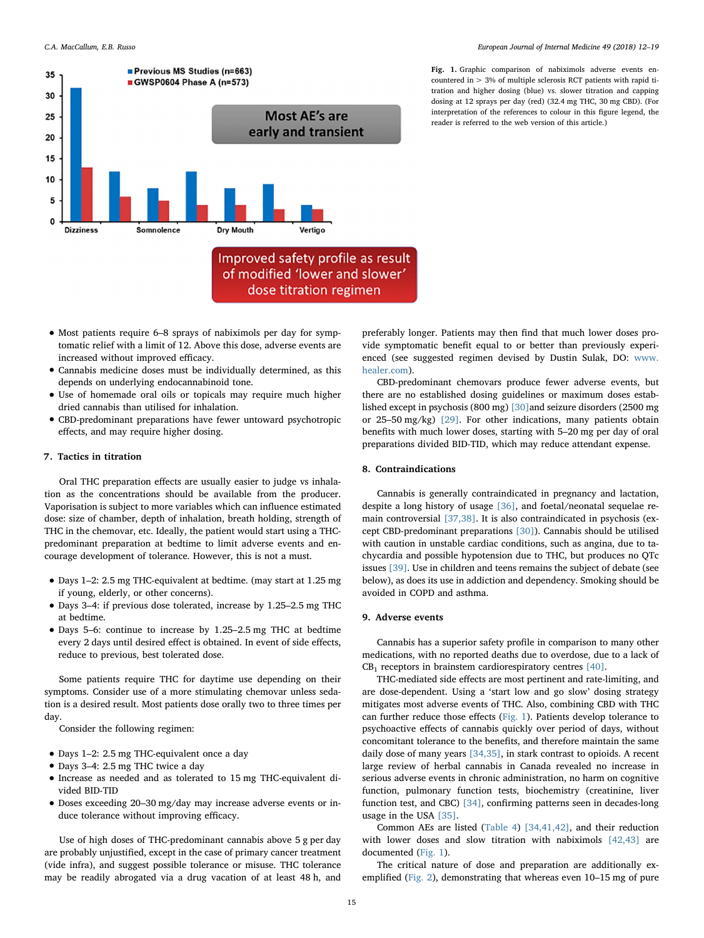<span id="page-3-0"></span>

dose titration regimen

Fig. 1. Graphic comparison of nabiximols adverse events encountered in > 3% of multiple sclerosis RCT patients with rapid titration and higher dosing (blue) vs. slower titration and capping dosing at 12 sprays per day (red) (32.4 mg THC, 30 mg CBD). (For interpretation of the references to colour in this figure legend, the reader is referred to the web version of this article.)

- Most patients require 6–8 sprays of nabiximols per day for symptomatic relief with a limit of 12. Above this dose, adverse events are increased without improved efficacy.
- Cannabis medicine doses must be individually determined, as this depends on underlying endocannabinoid tone.
- Use of homemade oral oils or topicals may require much higher dried cannabis than utilised for inhalation.
- CBD-predominant preparations have fewer untoward psychotropic effects, and may require higher dosing.

## 7. Tactics in titration

Oral THC preparation effects are usually easier to judge vs inhalation as the concentrations should be available from the producer. Vaporisation is subject to more variables which can influence estimated dose: size of chamber, depth of inhalation, breath holding, strength of THC in the chemovar, etc. Ideally, the patient would start using a THCpredominant preparation at bedtime to limit adverse events and encourage development of tolerance. However, this is not a must.

- Days 1–2: 2.5 mg THC-equivalent at bedtime. (may start at 1.25 mg if young, elderly, or other concerns).
- Days 3–4: if previous dose tolerated, increase by 1.25–2.5 mg THC at bedtime.
- Days 5–6: continue to increase by 1.25–2.5 mg THC at bedtime every 2 days until desired effect is obtained. In event of side effects, reduce to previous, best tolerated dose.

Some patients require THC for daytime use depending on their symptoms. Consider use of a more stimulating chemovar unless sedation is a desired result. Most patients dose orally two to three times per day.

Consider the following regimen:

- Days 1–2: 2.5 mg THC-equivalent once a day
- Days 3–4: 2.5 mg THC twice a day
- Increase as needed and as tolerated to 15 mg THC-equivalent divided BID-TID
- Doses exceeding 20–30 mg/day may increase adverse events or induce tolerance without improving efficacy.

Use of high doses of THC-predominant cannabis above 5 g per day are probably unjustified, except in the case of primary cancer treatment (vide infra), and suggest possible tolerance or misuse. THC tolerance may be readily abrogated via a drug vacation of at least 48 h, and preferably longer. Patients may then find that much lower doses provide symptomatic benefit equal to or better than previously experienced (see suggested regimen devised by Dustin Sulak, DO: [www.](http://www.healer.com) [healer.com\)](http://www.healer.com).

CBD-predominant chemovars produce fewer adverse events, but there are no established dosing guidelines or maximum doses established except in psychosis (800 mg) [\[30\]](#page-6-23)and seizure disorders (2500 mg or 25–50 mg/kg) [\[29\].](#page-6-24) For other indications, many patients obtain benefits with much lower doses, starting with 5–20 mg per day of oral preparations divided BID-TID, which may reduce attendant expense.

## 8. Contraindications

Cannabis is generally contraindicated in pregnancy and lactation, despite a long history of usage [\[36\]](#page-6-25), and foetal/neonatal sequelae remain controversial [\[37,38\].](#page-6-26) It is also contraindicated in psychosis (except CBD-predominant preparations [\[30\]](#page-6-23)). Cannabis should be utilised with caution in unstable cardiac conditions, such as angina, due to tachycardia and possible hypotension due to THC, but produces no QTc issues [\[39\].](#page-6-27) Use in children and teens remains the subject of debate (see below), as does its use in addiction and dependency. Smoking should be avoided in COPD and asthma.

## 9. Adverse events

Cannabis has a superior safety profile in comparison to many other medications, with no reported deaths due to overdose, due to a lack of  $CB<sub>1</sub>$  receptors in brainstem cardiorespiratory centres [\[40\].](#page-6-28)

THC-mediated side effects are most pertinent and rate-limiting, and are dose-dependent. Using a 'start low and go slow' dosing strategy mitigates most adverse events of THC. Also, combining CBD with THC can further reduce those effects [\(Fig. 1\)](#page-3-0). Patients develop tolerance to psychoactive effects of cannabis quickly over period of days, without concomitant tolerance to the benefits, and therefore maintain the same daily dose of many years [\[34,35\],](#page-6-21) in stark contrast to opioids. A recent large review of herbal cannabis in Canada revealed no increase in serious adverse events in chronic administration, no harm on cognitive function, pulmonary function tests, biochemistry (creatinine, liver function test, and CBC) [\[34\]](#page-6-21), confirming patterns seen in decades-long usage in the USA [\[35\]](#page-6-29).

Common AEs are listed [\(Table 4\)](#page-4-0) [\[34,41,42\]](#page-6-21), and their reduction with lower doses and slow titration with nabiximols [\[42,43\]](#page-6-30) are documented ([Fig. 1\)](#page-3-0).

The critical nature of dose and preparation are additionally exemplified ([Fig. 2\)](#page-4-1), demonstrating that whereas even 10–15 mg of pure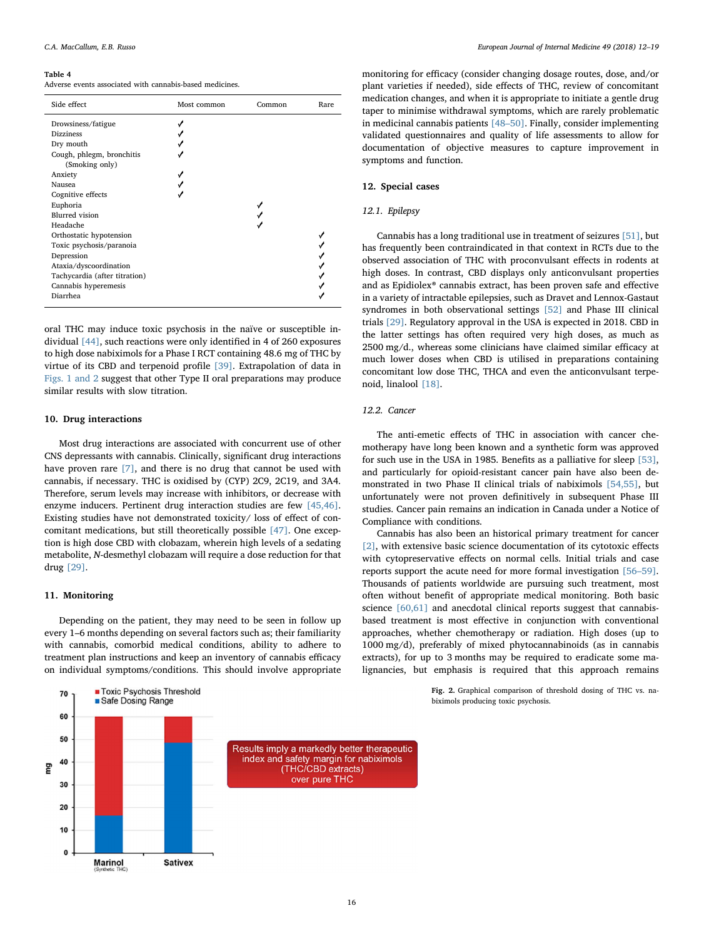#### <span id="page-4-0"></span>Table 4

Adverse events associated with cannabis-based medicines.

| Side effect                   | Most common | Common | Rare |
|-------------------------------|-------------|--------|------|
| Drowsiness/fatigue            |             |        |      |
| <b>Dizziness</b>              |             |        |      |
| Dry mouth                     |             |        |      |
| Cough, phlegm, bronchitis     |             |        |      |
| (Smoking only)                |             |        |      |
| Anxiety                       |             |        |      |
| Nausea                        |             |        |      |
| Cognitive effects             |             |        |      |
| Euphoria                      |             |        |      |
| <b>Blurred</b> vision         |             |        |      |
| Headache                      |             |        |      |
| Orthostatic hypotension       |             |        |      |
| Toxic psychosis/paranoia      |             |        |      |
| Depression                    |             |        |      |
| Ataxia/dyscoordination        |             |        |      |
| Tachycardia (after titration) |             |        |      |
| Cannabis hyperemesis          |             |        |      |
| Diarrhea                      |             |        |      |
|                               |             |        |      |

oral THC may induce toxic psychosis in the naïve or susceptible individual [\[44\]](#page-6-31), such reactions were only identified in 4 of 260 exposures to high dose nabiximols for a Phase I RCT containing 48.6 mg of THC by virtue of its CBD and terpenoid profile [\[39\].](#page-6-27) Extrapolation of data in [Figs. 1 and 2](#page-3-0) suggest that other Type II oral preparations may produce similar results with slow titration.

## 10. Drug interactions

Most drug interactions are associated with concurrent use of other CNS depressants with cannabis. Clinically, significant drug interactions have proven rare [\[7\],](#page-6-5) and there is no drug that cannot be used with cannabis, if necessary. THC is oxidised by (CYP) 2C9, 2C19, and 3A4. Therefore, serum levels may increase with inhibitors, or decrease with enzyme inducers. Pertinent drug interaction studies are few [\[45,46\]](#page-6-32). Existing studies have not demonstrated toxicity/ loss of effect of concomitant medications, but still theoretically possible [\[47\].](#page-6-33) One exception is high dose CBD with clobazam, wherein high levels of a sedating metabolite, N-desmethyl clobazam will require a dose reduction for that drug [\[29\]](#page-6-24).

#### 11. Monitoring

Depending on the patient, they may need to be seen in follow up every 1–6 months depending on several factors such as; their familiarity with cannabis, comorbid medical conditions, ability to adhere to treatment plan instructions and keep an inventory of cannabis efficacy on individual symptoms/conditions. This should involve appropriate

<span id="page-4-1"></span>

monitoring for efficacy (consider changing dosage routes, dose, and/or plant varieties if needed), side effects of THC, review of concomitant medication changes, and when it is appropriate to initiate a gentle drug taper to minimise withdrawal symptoms, which are rarely problematic in medicinal cannabis patients [\[48](#page-6-34)–50]. Finally, consider implementing validated questionnaires and quality of life assessments to allow for documentation of objective measures to capture improvement in symptoms and function.

### 12. Special cases

## 12.1. Epilepsy

Cannabis has a long traditional use in treatment of seizures [\[51\],](#page-6-35) but has frequently been contraindicated in that context in RCTs due to the observed association of THC with proconvulsant effects in rodents at high doses. In contrast, CBD displays only anticonvulsant properties and as Epidiolex® cannabis extract, has been proven safe and effective in a variety of intractable epilepsies, such as Dravet and Lennox-Gastaut syndromes in both observational settings [\[52\]](#page-6-36) and Phase III clinical trials [\[29\]](#page-6-24). Regulatory approval in the USA is expected in 2018. CBD in the latter settings has often required very high doses, as much as 2500 mg/d., whereas some clinicians have claimed similar efficacy at much lower doses when CBD is utilised in preparations containing concomitant low dose THC, THCA and even the anticonvulsant terpenoid, linalool [\[18\]](#page-6-16).

## 12.2. Cancer

The anti-emetic effects of THC in association with cancer chemotherapy have long been known and a synthetic form was approved for such use in the USA in 1985. Benefits as a palliative for sleep [\[53\]](#page-6-37), and particularly for opioid-resistant cancer pain have also been demonstrated in two Phase II clinical trials of nabiximols [\[54,55\]](#page-6-38), but unfortunately were not proven definitively in subsequent Phase III studies. Cancer pain remains an indication in Canada under a Notice of Compliance with conditions.

Cannabis has also been an historical primary treatment for cancer [\[2\],](#page-6-39) with extensive basic science documentation of its cytotoxic effects with cytopreservative effects on normal cells. Initial trials and case reports support the acute need for more formal investigation [\[56](#page-6-40)–59]. Thousands of patients worldwide are pursuing such treatment, most often without benefit of appropriate medical monitoring. Both basic science [\[60,61\]](#page-7-0) and anecdotal clinical reports suggest that cannabisbased treatment is most effective in conjunction with conventional approaches, whether chemotherapy or radiation. High doses (up to 1000 mg/d), preferably of mixed phytocannabinoids (as in cannabis extracts), for up to 3 months may be required to eradicate some malignancies, but emphasis is required that this approach remains

> Fig. 2. Graphical comparison of threshold dosing of THC vs. nabiximols producing toxic psychosis.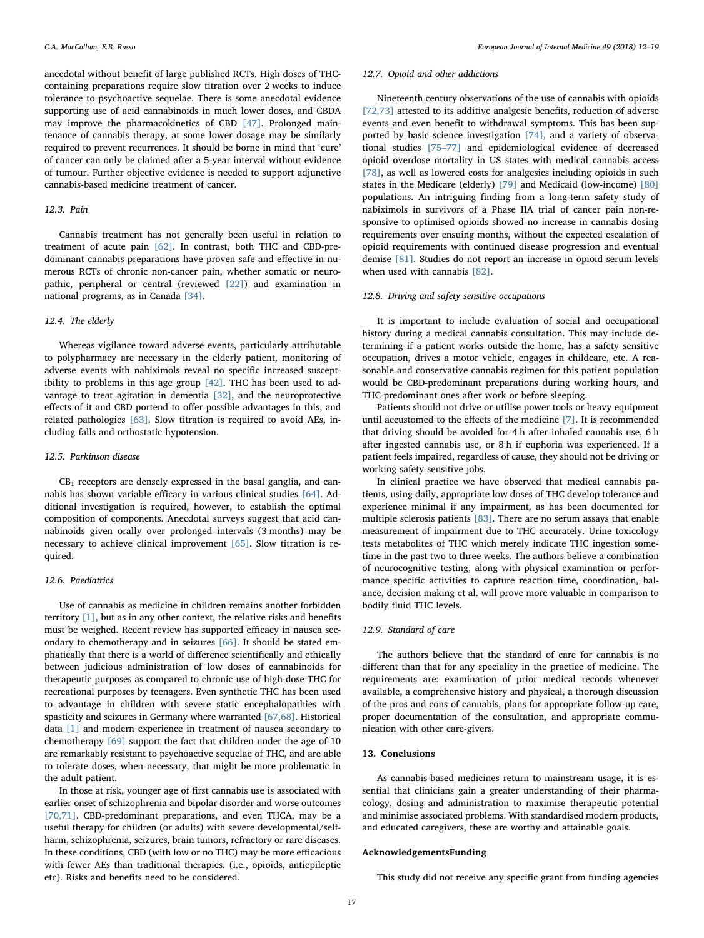anecdotal without benefit of large published RCTs. High doses of THCcontaining preparations require slow titration over 2 weeks to induce tolerance to psychoactive sequelae. There is some anecdotal evidence supporting use of acid cannabinoids in much lower doses, and CBDA may improve the pharmacokinetics of CBD [\[47\].](#page-6-33) Prolonged maintenance of cannabis therapy, at some lower dosage may be similarly required to prevent recurrences. It should be borne in mind that 'cure' of cancer can only be claimed after a 5-year interval without evidence of tumour. Further objective evidence is needed to support adjunctive cannabis-based medicine treatment of cancer.

## 12.3. Pain

Cannabis treatment has not generally been useful in relation to treatment of acute pain [\[62\]](#page-7-1). In contrast, both THC and CBD-predominant cannabis preparations have proven safe and effective in numerous RCTs of chronic non-cancer pain, whether somatic or neuropathic, peripheral or central (reviewed [\[22\]\)](#page-6-22) and examination in national programs, as in Canada [\[34\]](#page-6-21).

## 12.4. The elderly

Whereas vigilance toward adverse events, particularly attributable to polypharmacy are necessary in the elderly patient, monitoring of adverse events with nabiximols reveal no specific increased susceptibility to problems in this age group [\[42\].](#page-6-30) THC has been used to advantage to treat agitation in dementia [\[32\]](#page-6-41), and the neuroprotective effects of it and CBD portend to offer possible advantages in this, and related pathologies [\[63\]](#page-7-2). Slow titration is required to avoid AEs, including falls and orthostatic hypotension.

## 12.5. Parkinson disease

 $CB<sub>1</sub>$  receptors are densely expressed in the basal ganglia, and cannabis has shown variable efficacy in various clinical studies [\[64\]](#page-7-3). Additional investigation is required, however, to establish the optimal composition of components. Anecdotal surveys suggest that acid cannabinoids given orally over prolonged intervals (3 months) may be necessary to achieve clinical improvement [\[65\]](#page-7-4). Slow titration is required.

#### 12.6. Paediatrics

Use of cannabis as medicine in children remains another forbidden territory [\[1\],](#page-6-0) but as in any other context, the relative risks and benefits must be weighed. Recent review has supported efficacy in nausea secondary to chemotherapy and in seizures [\[66\].](#page-7-5) It should be stated emphatically that there is a world of difference scientifically and ethically between judicious administration of low doses of cannabinoids for therapeutic purposes as compared to chronic use of high-dose THC for recreational purposes by teenagers. Even synthetic THC has been used to advantage in children with severe static encephalopathies with spasticity and seizures in Germany where warranted [\[67,68\]](#page-7-6). Historical data [\[1\]](#page-6-0) and modern experience in treatment of nausea secondary to chemotherapy [\[69\]](#page-7-7) support the fact that children under the age of 10 are remarkably resistant to psychoactive sequelae of THC, and are able to tolerate doses, when necessary, that might be more problematic in the adult patient.

In those at risk, younger age of first cannabis use is associated with earlier onset of schizophrenia and bipolar disorder and worse outcomes [\[70,71\].](#page-7-8) CBD-predominant preparations, and even THCA, may be a useful therapy for children (or adults) with severe developmental/selfharm, schizophrenia, seizures, brain tumors, refractory or rare diseases. In these conditions, CBD (with low or no THC) may be more efficacious with fewer AEs than traditional therapies. (i.e., opioids, antiepileptic etc). Risks and benefits need to be considered.

#### 12.7. Opioid and other addictions

Nineteenth century observations of the use of cannabis with opioids [\[72,73\]](#page-7-9) attested to its additive analgesic benefits, reduction of adverse events and even benefit to withdrawal symptoms. This has been supported by basic science investigation [\[74\],](#page-7-10) and a variety of observational studies [75–[77\]](#page-7-11) and epidemiological evidence of decreased opioid overdose mortality in US states with medical cannabis access [\[78\]](#page-7-12), as well as lowered costs for analgesics including opioids in such states in the Medicare (elderly) [\[79\]](#page-7-13) and Medicaid (low-income) [\[80\]](#page-7-14) populations. An intriguing finding from a long-term safety study of nabiximols in survivors of a Phase IIA trial of cancer pain non-responsive to optimised opioids showed no increase in cannabis dosing requirements over ensuing months, without the expected escalation of opioid requirements with continued disease progression and eventual demise [\[81\].](#page-7-15) Studies do not report an increase in opioid serum levels when used with cannabis [\[82\]](#page-7-16).

#### 12.8. Driving and safety sensitive occupations

It is important to include evaluation of social and occupational history during a medical cannabis consultation. This may include determining if a patient works outside the home, has a safety sensitive occupation, drives a motor vehicle, engages in childcare, etc. A reasonable and conservative cannabis regimen for this patient population would be CBD-predominant preparations during working hours, and THC-predominant ones after work or before sleeping.

Patients should not drive or utilise power tools or heavy equipment until accustomed to the effects of the medicine [\[7\].](#page-6-5) It is recommended that driving should be avoided for 4 h after inhaled cannabis use, 6 h after ingested cannabis use, or 8 h if euphoria was experienced. If a patient feels impaired, regardless of cause, they should not be driving or working safety sensitive jobs.

In clinical practice we have observed that medical cannabis patients, using daily, appropriate low doses of THC develop tolerance and experience minimal if any impairment, as has been documented for multiple sclerosis patients [\[83\].](#page-7-17) There are no serum assays that enable measurement of impairment due to THC accurately. Urine toxicology tests metabolites of THC which merely indicate THC ingestion sometime in the past two to three weeks. The authors believe a combination of neurocognitive testing, along with physical examination or performance specific activities to capture reaction time, coordination, balance, decision making et al. will prove more valuable in comparison to bodily fluid THC levels.

## 12.9. Standard of care

The authors believe that the standard of care for cannabis is no different than that for any speciality in the practice of medicine. The requirements are: examination of prior medical records whenever available, a comprehensive history and physical, a thorough discussion of the pros and cons of cannabis, plans for appropriate follow-up care, proper documentation of the consultation, and appropriate communication with other care-givers.

## 13. Conclusions

As cannabis-based medicines return to mainstream usage, it is essential that clinicians gain a greater understanding of their pharmacology, dosing and administration to maximise therapeutic potential and minimise associated problems. With standardised modern products, and educated caregivers, these are worthy and attainable goals.

## AcknowledgementsFunding

This study did not receive any specific grant from funding agencies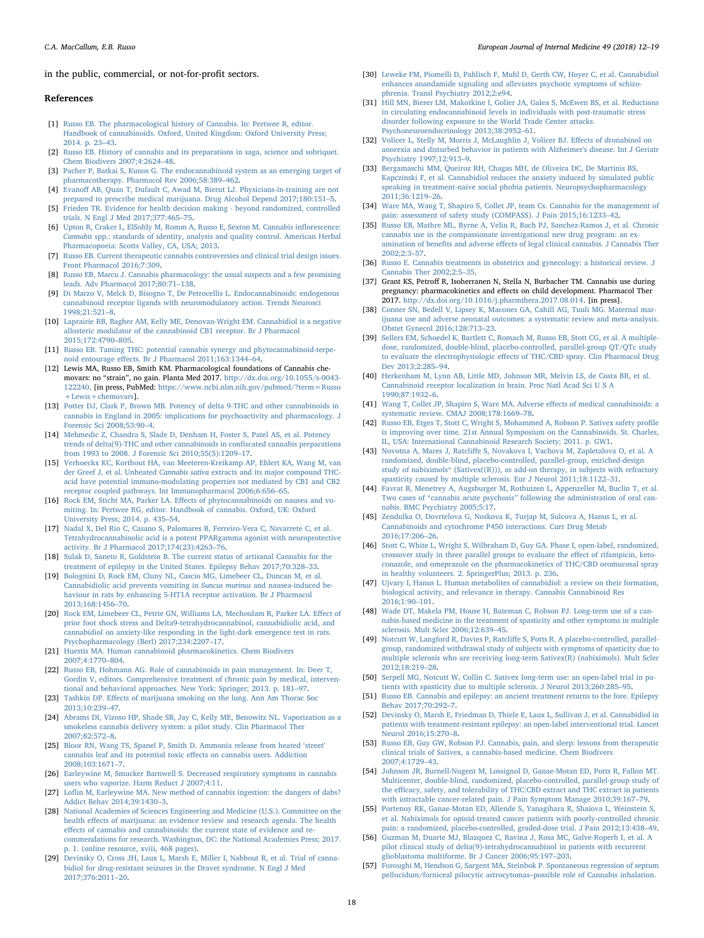in the public, commercial, or not-for-profit sectors.

#### References

- <span id="page-6-0"></span>[1] [Russo EB. The pharmacological history of Cannabis. In: Pertwee R, editor.](http://refhub.elsevier.com/S0953-6205(18)30004-9/rf0005) [Handbook of cannabinoids. Oxford, United Kingdom: Oxford University Press;](http://refhub.elsevier.com/S0953-6205(18)30004-9/rf0005) [2014. p. 23](http://refhub.elsevier.com/S0953-6205(18)30004-9/rf0005)–43.
- <span id="page-6-39"></span>[2] [Russo EB. History of cannabis and its preparations in saga, science and sobriquet.](http://refhub.elsevier.com/S0953-6205(18)30004-9/rf0010) [Chem Biodivers 2007;4:2624](http://refhub.elsevier.com/S0953-6205(18)30004-9/rf0010)–48.
- <span id="page-6-1"></span>[3] [Pacher P, Batkai S, Kunos G. The endocannabinoid system as an emerging target of](http://refhub.elsevier.com/S0953-6205(18)30004-9/rf0015) [pharmacotherapy. Pharmacol Rev 2006;58:389](http://refhub.elsevier.com/S0953-6205(18)30004-9/rf0015)–462.
- <span id="page-6-2"></span>[4] Evanoff [AB, Quan T, Dufault C, Awad M, Bierut LJ. Physicians-in-training are not](http://refhub.elsevier.com/S0953-6205(18)30004-9/rf0020) [prepared to prescribe medical marijuana. Drug Alcohol Depend 2017;180:151](http://refhub.elsevier.com/S0953-6205(18)30004-9/rf0020)–5.
- <span id="page-6-3"></span>[5] [Frieden TR. Evidence for health decision making - beyond randomized, controlled](http://refhub.elsevier.com/S0953-6205(18)30004-9/rf0025) [trials. N Engl J Med 2017;377:465](http://refhub.elsevier.com/S0953-6205(18)30004-9/rf0025)–75.
- <span id="page-6-4"></span>[6] [Upton R, Craker L, ElSohly M, Romm A, Russo E, Sexton M. Cannabis in](http://refhub.elsevier.com/S0953-6205(18)30004-9/rf0030)florescence: Cannabis [spp.: standards of identity, analysis and quality control. American Herbal](http://refhub.elsevier.com/S0953-6205(18)30004-9/rf0030) [Pharmacopoeia: Scotts Valley, CA, USA; 2013.](http://refhub.elsevier.com/S0953-6205(18)30004-9/rf0030)
- <span id="page-6-5"></span>[7] [Russo EB. Current therapeutic cannabis controversies and clinical trial design issues.](http://refhub.elsevier.com/S0953-6205(18)30004-9/rf0035) [Front Pharmacol 2016;7:309.](http://refhub.elsevier.com/S0953-6205(18)30004-9/rf0035)
- <span id="page-6-6"></span>[8] [Russo EB, Marcu J. Cannabis pharmacology: the usual suspects and a few promising](http://refhub.elsevier.com/S0953-6205(18)30004-9/rf0040) [leads. Adv Pharmacol 2017;80:71](http://refhub.elsevier.com/S0953-6205(18)30004-9/rf0040)–138.
- <span id="page-6-7"></span>[9] [Di Marzo V, Melck D, Bisogno T, De Petrocellis L. Endocannabinoids: endogenous](http://refhub.elsevier.com/S0953-6205(18)30004-9/rf0045) [cannabinoid receptor ligands with neuromodulatory action. Trends Neurosci](http://refhub.elsevier.com/S0953-6205(18)30004-9/rf0045) [1998;21:521](http://refhub.elsevier.com/S0953-6205(18)30004-9/rf0045)–8.
- <span id="page-6-8"></span>[10] [Laprairie RB, Bagher AM, Kelly ME, Denovan-Wright EM. Cannabidiol is a negative](http://refhub.elsevier.com/S0953-6205(18)30004-9/rf0050) [allosteric modulator of the cannabinoid CB1 receptor. Br J Pharmacol](http://refhub.elsevier.com/S0953-6205(18)30004-9/rf0050) [2015;172:4790](http://refhub.elsevier.com/S0953-6205(18)30004-9/rf0050)–805.
- <span id="page-6-9"></span>[11] [Russo EB. Taming THC: potential cannabis synergy and phytocannabinoid-terpe](http://refhub.elsevier.com/S0953-6205(18)30004-9/rf0055)noid entourage eff[ects. Br J Pharmacol 2011;163:1344](http://refhub.elsevier.com/S0953-6205(18)30004-9/rf0055)–64.
- <span id="page-6-10"></span>[12] Lewis MA, Russo EB, Smith KM. Pharmacological foundations of Cannabis chemovars: no "strain", no gain. Planta Med 2017. [http://dx.doi.org/10.1055/s-0043-](http://dx.doi.org/10.1055/s-0043-122240) 122240. [in press, PubMed: [https://www.ncbi.nlm.nih.gov/pubmed/?term=Russo](http://dx.doi.org/10.1055/s-0043-122240) [+Lewis+chemovars\].](https://www.ncbi.nlm.nih.gov/pubmed/?term=Russo+ewishemovars)
- <span id="page-6-11"></span>[13] [Potter DJ, Clark P, Brown MB. Potency of delta 9-THC and other cannabinoids in](http://refhub.elsevier.com/S0953-6205(18)30004-9/rf0065) [cannabis in England in 2005: implications for psychoactivity and pharmacology. J](http://refhub.elsevier.com/S0953-6205(18)30004-9/rf0065) [Forensic Sci 2008;53:90](http://refhub.elsevier.com/S0953-6205(18)30004-9/rf0065)–4.
- <span id="page-6-12"></span>[14] [Mehmedic Z, Chandra S, Slade D, Denham H, Foster S, Patel AS, et al. Potency](http://refhub.elsevier.com/S0953-6205(18)30004-9/rf0070) [trends of delta\(9\)-THC and other cannabinoids in con](http://refhub.elsevier.com/S0953-6205(18)30004-9/rf0070)fiscated cannabis preparations [from 1993 to 2008. J Forensic Sci 2010;55\(5\):1209](http://refhub.elsevier.com/S0953-6205(18)30004-9/rf0070)–17.
- <span id="page-6-13"></span>[15] Verhoeckx [KC, Korthout HA, van Meeteren-Kreikamp AP, Ehlert KA, Wang M, van](http://refhub.elsevier.com/S0953-6205(18)30004-9/rf0075) der Greef J, et al. Unheated Cannabis sativa [extracts and its major compound THC](http://refhub.elsevier.com/S0953-6205(18)30004-9/rf0075)[acid have potential immuno-modulating properties not mediated by CB1 and CB2](http://refhub.elsevier.com/S0953-6205(18)30004-9/rf0075) [receptor coupled pathways. Int Immunopharmacol 2006;6:656](http://refhub.elsevier.com/S0953-6205(18)30004-9/rf0075)–65.
- <span id="page-6-14"></span>[16] Rock EM, Sticht MA, Parker LA. Eff[ects of phytocannabinoids on nausea and vo](http://refhub.elsevier.com/S0953-6205(18)30004-9/rf0080)[miting. In: Pertwee RG, editor. Handbook of cannabis. Oxford, UK: Oxford](http://refhub.elsevier.com/S0953-6205(18)30004-9/rf0080) [University Press; 2014. p. 435](http://refhub.elsevier.com/S0953-6205(18)30004-9/rf0080)–54.
- <span id="page-6-15"></span>[17] [Nadal X, Del Rio C, Casano S, Palomares B, Ferreiro-Vera C, Navarrete C, et al.](http://refhub.elsevier.com/S0953-6205(18)30004-9/rf0085) [Tetrahydrocannabinolic acid is a potent PPARgamma agonist with neuroprotective](http://refhub.elsevier.com/S0953-6205(18)30004-9/rf0085) [activity. Br J Pharmacol 2017;174\(23\):4263](http://refhub.elsevier.com/S0953-6205(18)30004-9/rf0085)–76.
- <span id="page-6-16"></span>[18] [Sulak D, Saneto R, Goldstein B. The current status of artisanal Cannabis for the](http://refhub.elsevier.com/S0953-6205(18)30004-9/rf0090) [treatment of epilepsy in the United States. Epilepsy Behav 2017;70:328](http://refhub.elsevier.com/S0953-6205(18)30004-9/rf0090)–33.
- <span id="page-6-17"></span>[19] [Bolognini D, Rock EM, Cluny NL, Cascio MG, Limebeer CL, Duncan M, et al.](http://refhub.elsevier.com/S0953-6205(18)30004-9/rf0095) [Cannabidiolic acid prevents vomiting in](http://refhub.elsevier.com/S0953-6205(18)30004-9/rf0095) Suncus murinus and nausea-induced be[haviour in rats by enhancing 5-HT1A receptor activation. Br J Pharmacol](http://refhub.elsevier.com/S0953-6205(18)30004-9/rf0095) [2013;168:1456](http://refhub.elsevier.com/S0953-6205(18)30004-9/rf0095)–70.
- <span id="page-6-18"></span>[20] [Rock EM, Limebeer CL, Petrie GN, Williams LA, Mechoulam R, Parker LA. E](http://refhub.elsevier.com/S0953-6205(18)30004-9/rf0100)ffect of [prior foot shock stress and Delta9-tetrahydrocannabinol, cannabidiolic acid, and](http://refhub.elsevier.com/S0953-6205(18)30004-9/rf0100) [cannabidiol on anxiety-like responding in the light-dark emergence test in rats.](http://refhub.elsevier.com/S0953-6205(18)30004-9/rf0100) [Psychopharmacology \(Berl\) 2017;234:2207](http://refhub.elsevier.com/S0953-6205(18)30004-9/rf0100)–17.
- <span id="page-6-19"></span>[21] [Huestis MA. Human cannabinoid pharmacokinetics. Chem Biodivers](http://refhub.elsevier.com/S0953-6205(18)30004-9/rf0105) [2007;4:1770](http://refhub.elsevier.com/S0953-6205(18)30004-9/rf0105)–804.
- <span id="page-6-22"></span>[22] [Russo EB, Hohmann AG. Role of cannabinoids in pain management. In: Deer T,](http://refhub.elsevier.com/S0953-6205(18)30004-9/rf0110) [Gordin V, editors. Comprehensive treatment of chronic pain by medical, interven](http://refhub.elsevier.com/S0953-6205(18)30004-9/rf0110)[tional and behavioral approaches. New York: Springer; 2013. p. 181](http://refhub.elsevier.com/S0953-6205(18)30004-9/rf0110)–97.
- [23] Tashkin DP. Eff[ects of marijuana smoking on the lung. Ann Am Thorac Soc](http://refhub.elsevier.com/S0953-6205(18)30004-9/rf0115) [2013;10:239](http://refhub.elsevier.com/S0953-6205(18)30004-9/rf0115)–47.
- [24] [Abrams DI, Vizoso HP, Shade SB, Jay C, Kelly ME, Benowitz NL. Vaporization as a](http://refhub.elsevier.com/S0953-6205(18)30004-9/rf0120) [smokeless cannabis delivery system: a pilot study. Clin Pharmacol Ther](http://refhub.elsevier.com/S0953-6205(18)30004-9/rf0120) [2007;82:572](http://refhub.elsevier.com/S0953-6205(18)30004-9/rf0120)–8.
- [25] [Bloor RN, Wang TS, Spanel P, Smith D. Ammonia release from heated](http://refhub.elsevier.com/S0953-6205(18)30004-9/rf0125) 'street' [cannabis leaf and its potential toxic e](http://refhub.elsevier.com/S0953-6205(18)30004-9/rf0125)ffects on cannabis users. Addiction [2008;103:1671](http://refhub.elsevier.com/S0953-6205(18)30004-9/rf0125)–7.
- [26] Earleywine M, Smucker Barnwell S, Decreased respiratory symptoms in cannabis [users who vaporize. Harm Reduct J 2007;4:11.](http://refhub.elsevier.com/S0953-6205(18)30004-9/rf0130)
- [27] Lofl[in M, Earleywine MA. New method of cannabis ingestion: the dangers of dabs?](http://refhub.elsevier.com/S0953-6205(18)30004-9/rf0135) [Addict Behav 2014;39:1430](http://refhub.elsevier.com/S0953-6205(18)30004-9/rf0135)–3.
- <span id="page-6-20"></span>[28] National [Academies of Sciences Engineering and Medicine \(U.S.\). Committee on the](http://refhub.elsevier.com/S0953-6205(18)30004-9/rf0140) health eff[ects of marijuana: an evidence review and research agenda. The health](http://refhub.elsevier.com/S0953-6205(18)30004-9/rf0140) eff[ects of cannabis and cannabinoids: the current state of evidence and re](http://refhub.elsevier.com/S0953-6205(18)30004-9/rf0140)[commendations for research. Washington, DC: the National Academies Press; 2017.](http://refhub.elsevier.com/S0953-6205(18)30004-9/rf0140) [p. 1. \(online resource, xviii, 468 pages\).](http://refhub.elsevier.com/S0953-6205(18)30004-9/rf0140)
- <span id="page-6-24"></span>[29] [Devinsky O, Cross JH, Laux L, Marsh E, Miller I, Nabbout R, et al. Trial of canna](http://refhub.elsevier.com/S0953-6205(18)30004-9/rf0145)[bidiol for drug-resistant seizures in the Dravet syndrome. N Engl J Med](http://refhub.elsevier.com/S0953-6205(18)30004-9/rf0145) [2017;376:2011](http://refhub.elsevier.com/S0953-6205(18)30004-9/rf0145)–20.
- <span id="page-6-23"></span>[30] [Leweke FM, Piomelli D, Pahlisch F, Muhl D, Gerth CW, Hoyer C, et al. Cannabidiol](http://refhub.elsevier.com/S0953-6205(18)30004-9/rf0150) [enhances anandamide signaling and alleviates psychotic symptoms of schizo](http://refhub.elsevier.com/S0953-6205(18)30004-9/rf0150)[phrenia. Transl Psychiatry 2012;2:e94.](http://refhub.elsevier.com/S0953-6205(18)30004-9/rf0150)
- [31] [Hill MN, Bierer LM, Makotkine I, Golier JA, Galea S, McEwen BS, et al. Reductions](http://refhub.elsevier.com/S0953-6205(18)30004-9/rf0155) [in circulating endocannabinoid levels in individuals with post-traumatic stress](http://refhub.elsevier.com/S0953-6205(18)30004-9/rf0155) [disorder following exposure to the World Trade Center attacks.](http://refhub.elsevier.com/S0953-6205(18)30004-9/rf0155) [Psychoneuroendocrinology 2013;38:2952](http://refhub.elsevier.com/S0953-6205(18)30004-9/rf0155)–61.
- <span id="page-6-41"></span>[32] [Volicer L, Stelly M, Morris J, McLaughlin J, Volicer BJ. E](http://refhub.elsevier.com/S0953-6205(18)30004-9/rf0160)ffects of dronabinol on [anorexia and disturbed behavior in patients with Alzheimer's disease. Int J Geriatr](http://refhub.elsevier.com/S0953-6205(18)30004-9/rf0160) [Psychiatry 1997;12:913](http://refhub.elsevier.com/S0953-6205(18)30004-9/rf0160)–9.
- [33] [Bergamaschi MM, Queiroz RH, Chagas MH, de Oliveira DC, De Martinis BS,](http://refhub.elsevier.com/S0953-6205(18)30004-9/rf0165) [Kapczinski F, et al. Cannabidiol reduces the anxiety induced by simulated public](http://refhub.elsevier.com/S0953-6205(18)30004-9/rf0165) [speaking in treatment-naive social phobia patients. Neuropsychopharmacology](http://refhub.elsevier.com/S0953-6205(18)30004-9/rf0165) [2011;36:1219](http://refhub.elsevier.com/S0953-6205(18)30004-9/rf0165)–26.
- <span id="page-6-21"></span>[34] [Ware MA, Wang T, Shapiro S, Collet JP, team Cs. Cannabis for the management of](http://refhub.elsevier.com/S0953-6205(18)30004-9/rf0170) [pain: assessment of safety study \(COMPASS\). J Pain 2015;16:1233](http://refhub.elsevier.com/S0953-6205(18)30004-9/rf0170)–42.
- <span id="page-6-29"></span>[35] [Russo EB, Mathre ML, Byrne A, Velin R, Bach PJ, Sanchez-Ramos J, et al. Chronic](http://refhub.elsevier.com/S0953-6205(18)30004-9/rf0175) [cannabis use in the compassionate investigational new drug program: an ex](http://refhub.elsevier.com/S0953-6205(18)30004-9/rf0175)amination of benefits and adverse eff[ects of legal clinical cannabis. J Cannabis Ther](http://refhub.elsevier.com/S0953-6205(18)30004-9/rf0175) [2002;2:3](http://refhub.elsevier.com/S0953-6205(18)30004-9/rf0175)–57.
- <span id="page-6-25"></span>[36] [Russo E. Cannabis treatments in obstetrics and gynecology: a historical review. J](http://refhub.elsevier.com/S0953-6205(18)30004-9/rf0180) [Cannabis Ther 2002;2:5](http://refhub.elsevier.com/S0953-6205(18)30004-9/rf0180)–35.
- <span id="page-6-26"></span>[37] Grant KS, Petroff R, Isoherranen N, Stella N, Burbacher TM. Cannabis use during pregnancy: pharmacokinetics and effects on child development. Pharmacol Ther 2017. [http://dx.doi.org/10.1016/j.pharmthera.2017.08.014. \[in press\].](http://dx.doi.org/10.1016/j.pharmthera.2017.08.014)
- [38] [Conner SN, Bedell V, Lipsey K, Macones GA, Cahill AG, Tuuli MG. Maternal mar](http://refhub.elsevier.com/S0953-6205(18)30004-9/rf0190)[ijuana use and adverse neonatal outcomes: a systematic review and meta-analysis.](http://refhub.elsevier.com/S0953-6205(18)30004-9/rf0190) [Obstet Gynecol 2016;128:713](http://refhub.elsevier.com/S0953-6205(18)30004-9/rf0190)–23.
- <span id="page-6-27"></span>[39] [Sellers EM, Schoedel K, Bartlett C, Romach M, Russo EB, Stott CG, et al. A multiple](http://refhub.elsevier.com/S0953-6205(18)30004-9/rf0195)[dose, randomized, double-blind, placebo-controlled, parallel-group QT/QTc study](http://refhub.elsevier.com/S0953-6205(18)30004-9/rf0195) to evaluate the electrophysiologic eff[ects of THC/CBD spray. Clin Pharmacol Drug](http://refhub.elsevier.com/S0953-6205(18)30004-9/rf0195) [Dev 2013;2:285](http://refhub.elsevier.com/S0953-6205(18)30004-9/rf0195)–94.
- <span id="page-6-28"></span>[40] [Herkenham M, Lynn AB, Little MD, Johnson MR, Melvin LS, de Costa BR, et al.](http://refhub.elsevier.com/S0953-6205(18)30004-9/rf0200) [Cannabinoid receptor localization in brain. Proc Natl Acad Sci U S A](http://refhub.elsevier.com/S0953-6205(18)30004-9/rf0200) [1990;87:1932](http://refhub.elsevier.com/S0953-6205(18)30004-9/rf0200)–6.
- [41] Wang [T, Collet JP, Shapiro S, Ware MA. Adverse e](http://refhub.elsevier.com/S0953-6205(18)30004-9/rf0205)ffects of medical cannabinoids: a [systematic review. CMAJ 2008;178:1669](http://refhub.elsevier.com/S0953-6205(18)30004-9/rf0205)–78.
- <span id="page-6-30"></span>[42] [Russo EB, Etges T, Stott C, Wright S, Mohammed A, Robson P. Sativex safety pro](http://refhub.elsevier.com/S0953-6205(18)30004-9/rf0210)file [is improving over time. 21st Annual Symposium on the Cannabinoids. St. Charles,](http://refhub.elsevier.com/S0953-6205(18)30004-9/rf0210) [IL, USA: International Cannabinoid Research Society; 2011. p. GW1.](http://refhub.elsevier.com/S0953-6205(18)30004-9/rf0210)
- [43] Novotna A, Mares J, Ratcliff[e S, Novakova I, Vachova M, Zapletalova O, et al. A](http://refhub.elsevier.com/S0953-6205(18)30004-9/rf0215) [randomized, double-blind, placebo-controlled, parallel-group, enriched-design](http://refhub.elsevier.com/S0953-6205(18)30004-9/rf0215) [study of nabiximols\\* \(Sativex\(\(R\)\)\), as add-on therapy, in subjects with refractory](http://refhub.elsevier.com/S0953-6205(18)30004-9/rf0215) [spasticity caused by multiple sclerosis. Eur J Neurol 2011;18:1122](http://refhub.elsevier.com/S0953-6205(18)30004-9/rf0215)–31.
- <span id="page-6-31"></span>[44] [Favrat B, Menetrey A, Augsburger M, Rothuizen L, Appenzeller M, Buclin T, et al.](http://refhub.elsevier.com/S0953-6205(18)30004-9/rf0220) Two cases of "cannabis acute psychosis" [following the administration of oral can](http://refhub.elsevier.com/S0953-6205(18)30004-9/rf0220)[nabis. BMC Psychiatry 2005;5:17.](http://refhub.elsevier.com/S0953-6205(18)30004-9/rf0220)
- <span id="page-6-32"></span>[45] [Zendulka O, Dovrtelova G, Noskova K, Turjap M, Sulcova A, Hanus L, et al.](http://refhub.elsevier.com/S0953-6205(18)30004-9/rf0225) [Cannabinoids and cytochrome P450 interactions. Curr Drug Metab](http://refhub.elsevier.com/S0953-6205(18)30004-9/rf0225) [2016;17:206](http://refhub.elsevier.com/S0953-6205(18)30004-9/rf0225)–26.
- [46] [Stott C, White L, Wright S, Wilbraham D, Guy GA. Phase I, open-label, randomized,](http://refhub.elsevier.com/S0953-6205(18)30004-9/rf0230) [crossover study in three parallel groups to evaluate the e](http://refhub.elsevier.com/S0953-6205(18)30004-9/rf0230)ffect of rifampicin, keto[conazole, and omeprazole on the pharmacokinetics of THC/CBD oromucosal spray](http://refhub.elsevier.com/S0953-6205(18)30004-9/rf0230) [in healthy volunteers. 2. SpringerPlus; 2013. p. 236.](http://refhub.elsevier.com/S0953-6205(18)30004-9/rf0230)
- <span id="page-6-33"></span>[47] Ujvary I, Hanus L. Human metabolites of cannabidiol: a review on their formation [biological activity, and relevance in therapy. Cannabis Cannabinoid Res](http://refhub.elsevier.com/S0953-6205(18)30004-9/rf0235) [2016;1:90](http://refhub.elsevier.com/S0953-6205(18)30004-9/rf0235)–101.
- <span id="page-6-34"></span>[48] [Wade DT, Makela PM, House H, Bateman C, Robson PJ. Long-term use of a can](http://refhub.elsevier.com/S0953-6205(18)30004-9/rf0240)[nabis-based medicine in the treatment of spasticity and other symptoms in multiple](http://refhub.elsevier.com/S0953-6205(18)30004-9/rf0240) [sclerosis. Mult Scler 2006;12:639](http://refhub.elsevier.com/S0953-6205(18)30004-9/rf0240)–45.
- [49] Notcutt W, Langford R, Davies P, Ratcliff[e S, Potts R. A placebo-controlled, parallel](http://refhub.elsevier.com/S0953-6205(18)30004-9/rf0245)[group, randomized withdrawal study of subjects with symptoms of spasticity due to](http://refhub.elsevier.com/S0953-6205(18)30004-9/rf0245) [multiple sclerosis who are receiving long-term Sativex\(R\) \(nabiximols\). Mult Scler](http://refhub.elsevier.com/S0953-6205(18)30004-9/rf0245) [2012;18:219](http://refhub.elsevier.com/S0953-6205(18)30004-9/rf0245)–28.
- [50] [Serpell MG, Notcutt W, Collin C. Sativex long-term use: an open-label trial in pa](http://refhub.elsevier.com/S0953-6205(18)30004-9/rf0250)[tients with spasticity due to multiple sclerosis. J Neurol 2013;260:285](http://refhub.elsevier.com/S0953-6205(18)30004-9/rf0250)–95.
- <span id="page-6-35"></span>[51] [Russo EB. Cannabis and epilepsy: an ancient treatment returns to the fore. Epilepsy](http://refhub.elsevier.com/S0953-6205(18)30004-9/rf0255) [Behav 2017;70:292](http://refhub.elsevier.com/S0953-6205(18)30004-9/rf0255)–7.
- <span id="page-6-36"></span>[52] [Devinsky O, Marsh E, Friedman D, Thiele E, Laux L, Sullivan J, et al. Cannabidiol in](http://refhub.elsevier.com/S0953-6205(18)30004-9/rf0260) [patients with treatment-resistant epilepsy: an open-label interventional trial. Lancet](http://refhub.elsevier.com/S0953-6205(18)30004-9/rf0260) [Neurol 2016;15:270](http://refhub.elsevier.com/S0953-6205(18)30004-9/rf0260)–8.
- <span id="page-6-37"></span>[53] [Russo EB, Guy GW, Robson PJ. Cannabis, pain, and sleep: lessons from therapeutic](http://refhub.elsevier.com/S0953-6205(18)30004-9/rf0265) [clinical trials of Sativex, a cannabis-based medicine. Chem Biodivers](http://refhub.elsevier.com/S0953-6205(18)30004-9/rf0265) [2007;4:1729](http://refhub.elsevier.com/S0953-6205(18)30004-9/rf0265)–43.
- <span id="page-6-38"></span>[54] Johnson [JR, Burnell-Nugent M, Lossignol D, Ganae-Motan ED, Potts R, Fallon MT.](http://refhub.elsevier.com/S0953-6205(18)30004-9/rf0270) [Multicenter, double-blind, randomized, placebo-controlled, parallel-group study of](http://refhub.elsevier.com/S0953-6205(18)30004-9/rf0270) the effi[cacy, safety, and tolerability of THC:CBD extract and THC extract in patients](http://refhub.elsevier.com/S0953-6205(18)30004-9/rf0270) [with intractable cancer-related pain. J Pain Symptom Manage 2010;39:167](http://refhub.elsevier.com/S0953-6205(18)30004-9/rf0270)–79.
- [55] [Portenoy RK, Ganae-Motan ED, Allende S, Yanagihara R, Shaiova L, Weinstein S,](http://refhub.elsevier.com/S0953-6205(18)30004-9/rf0275) [et al. Nabiximols for opioid-treated cancer patients with poorly-controlled chronic](http://refhub.elsevier.com/S0953-6205(18)30004-9/rf0275) [pain: a randomized, placebo-controlled, graded-dose trial. J Pain 2012;13:438](http://refhub.elsevier.com/S0953-6205(18)30004-9/rf0275)–49.
- <span id="page-6-40"></span>[56] [Guzman M, Duarte MJ, Blazquez C, Ravina J, Rosa MC, Galve-Roperh I, et al. A](http://refhub.elsevier.com/S0953-6205(18)30004-9/rf0280) [pilot clinical study of delta\(9\)-tetrahydrocannabinol in patients with recurrent](http://refhub.elsevier.com/S0953-6205(18)30004-9/rf0280) [glioblastoma multiforme. Br J Cancer 2006;95:197](http://refhub.elsevier.com/S0953-6205(18)30004-9/rf0280)–203.
- [57] [Foroughi M, Hendson G, Sargent MA, Steinbok P. Spontaneous regression of septum](http://refhub.elsevier.com/S0953-6205(18)30004-9/rf0285) [pellucidum/forniceal pilocytic astrocytomas](http://refhub.elsevier.com/S0953-6205(18)30004-9/rf0285)–possible role of Cannabis inhalation.